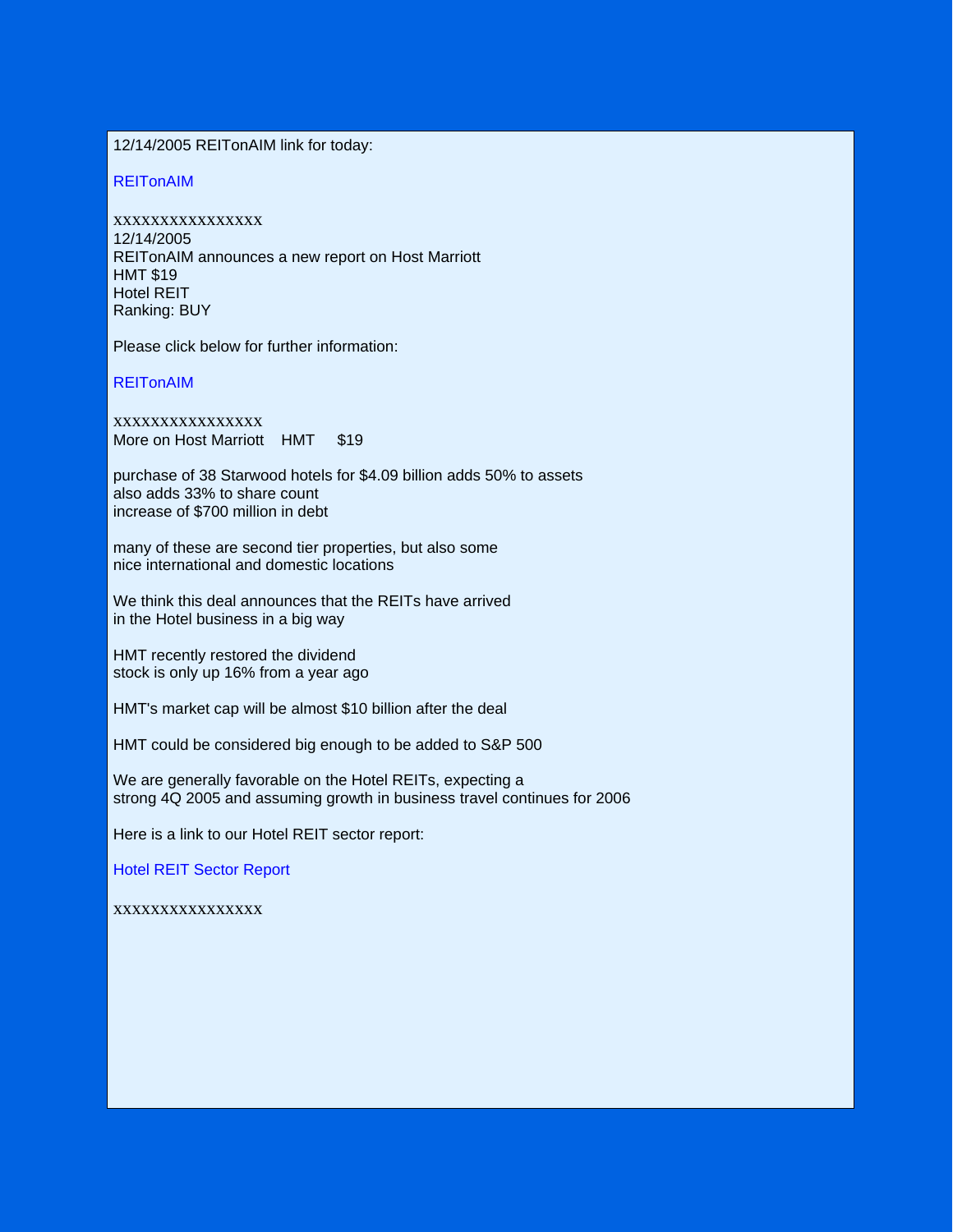12/14/2005 REITonAIM link for today:

REITonAIM

xxxxxxxxxxxxxxxx 12/14/2005 REITonAIM announces a new report on Host Marriott HMT \$19 Hotel REIT Ranking: BUY

Please click below for further information:

REITonAIM

xxxxxxxxxxxxxxxx More on Host Marriott HMT \$19

purchase of 38 Starwood hotels for \$4.09 billion adds 50% to assets also adds 33% to share count increase of \$700 million in debt

many of these are second tier properties, but also some nice international and domestic locations

We think this deal announces that the REITs have arrived in the Hotel business in a big way

HMT recently restored the dividend stock is only up 16% from a year ago

HMT's market cap will be almost \$10 billion after the deal

HMT could be considered big enough to be added to S&P 500

We are generally favorable on the Hotel REITs, expecting a strong 4Q 2005 and assuming growth in business travel continues for 2006

Here is a link to our Hotel REIT sector report:

Hotel REIT Sector Report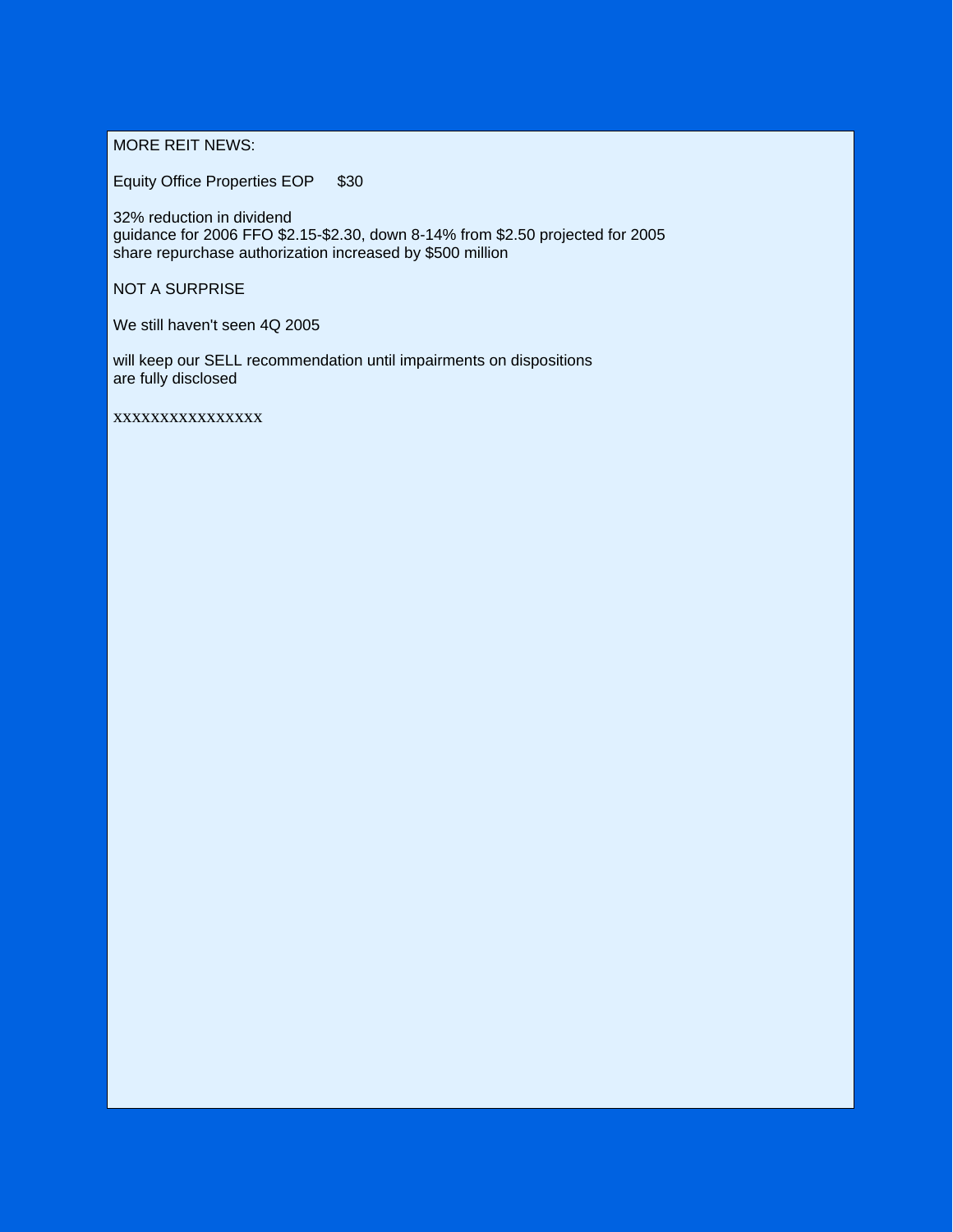MORE REIT NEWS:

Equity Office Properties EOP \$30

32% reduction in dividend guidance for 2006 FFO \$2.15-\$2.30, down 8-14% from \$2.50 projected for 2005 share repurchase authorization increased by \$500 million

NOT A SURPRISE

We still haven't seen 4Q 2005

will keep our SELL recommendation until impairments on dispositions are fully disclosed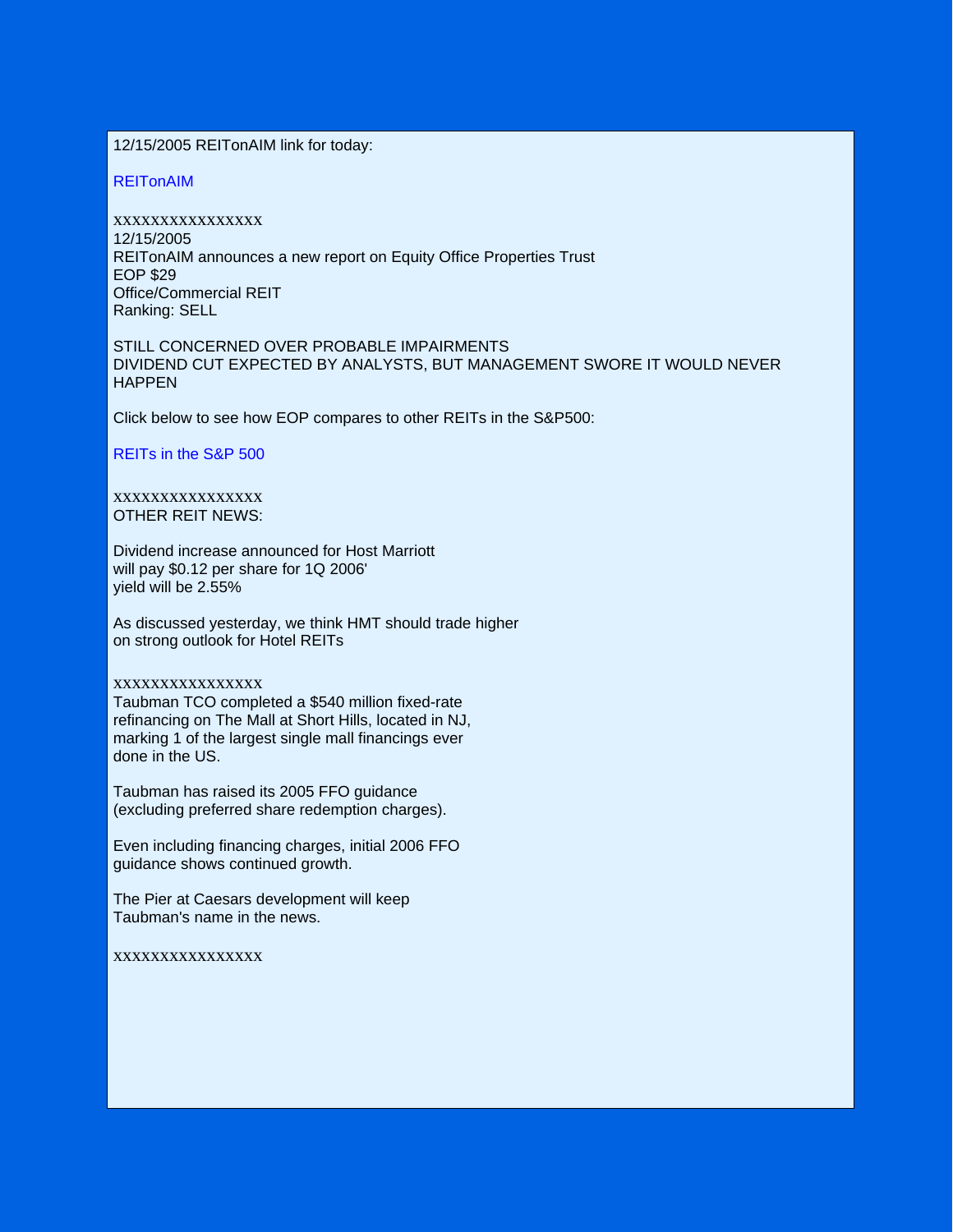12/15/2005 REITonAIM link for today:

REITonAIM

xxxxxxxxxxxxxxxx 12/15/2005 REITonAIM announces a new report on Equity Office Properties Trust EOP \$29 Office/Commercial REIT Ranking: SELL

STILL CONCERNED OVER PROBABLE IMPAIRMENTS DIVIDEND CUT EXPECTED BY ANALYSTS, BUT MANAGEMENT SWORE IT WOULD NEVER **HAPPEN** 

Click below to see how EOP compares to other REITs in the S&P500:

REITs in the S&P 500

### xxxxxxxxxxxxxxxx OTHER REIT NEWS:

Dividend increase announced for Host Marriott will pay \$0.12 per share for 1Q 2006' yield will be 2.55%

As discussed yesterday, we think HMT should trade higher on strong outlook for Hotel REITs

### xxxxxxxxxxxxxxxx

Taubman TCO completed a \$540 million fixed-rate refinancing on The Mall at Short Hills, located in NJ, marking 1 of the largest single mall financings ever done in the US.

Taubman has raised its 2005 FFO guidance (excluding preferred share redemption charges).

Even including financing charges, initial 2006 FFO guidance shows continued growth.

The Pier at Caesars development will keep Taubman's name in the news.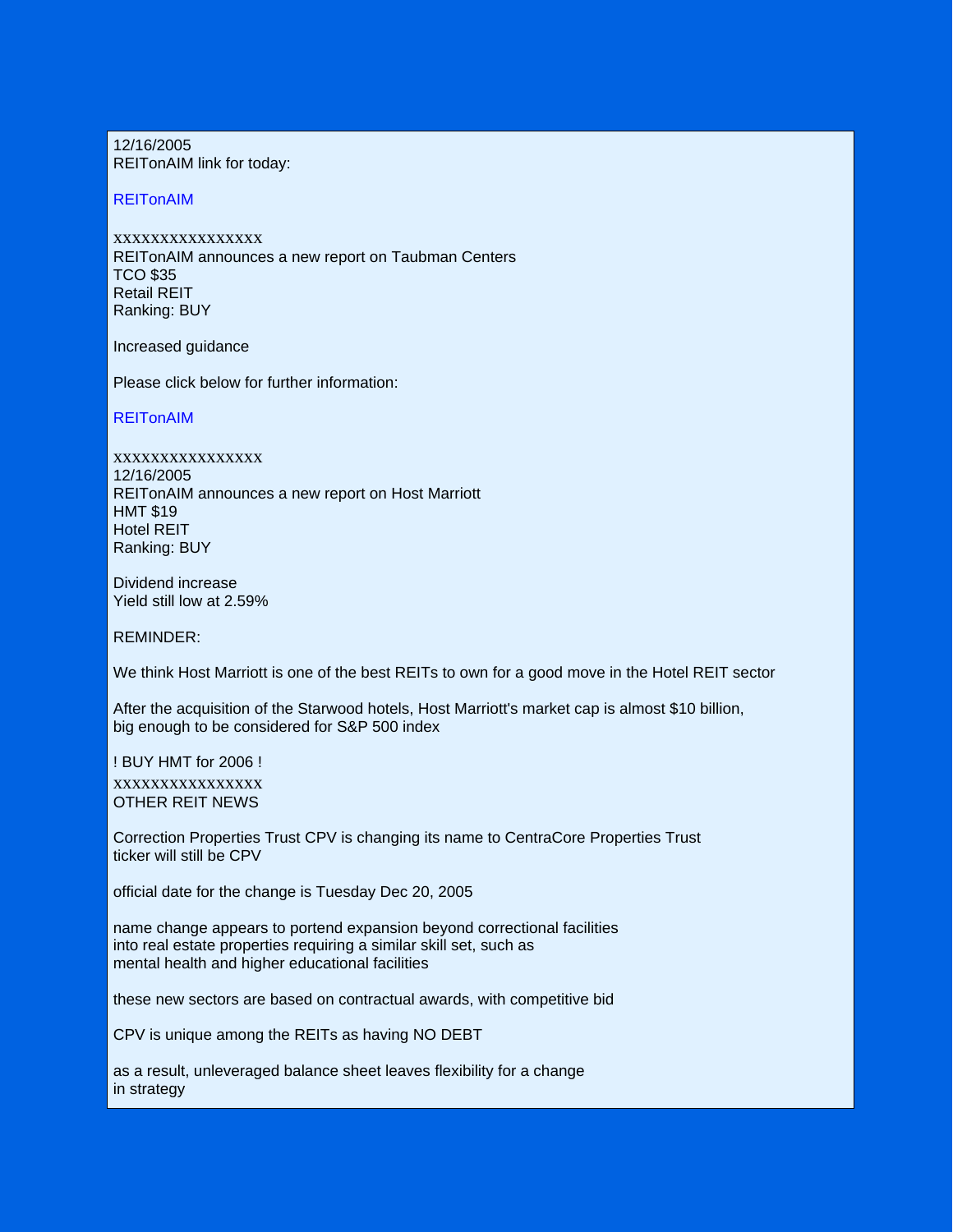12/16/2005 REITonAIM link for today:

### **REITonAIM**

xxxxxxxxxxxxxxxx REITonAIM announces a new report on Taubman Centers TCO \$35 Retail REIT Ranking: BUY

Increased guidance

Please click below for further information:

## REITonAIM

xxxxxxxxxxxxxxxx 12/16/2005 REITonAIM announces a new report on Host Marriott HMT \$19 Hotel REIT Ranking: BUY

Dividend increase Yield still low at 2.59%

REMINDER:

We think Host Marriott is one of the best REITs to own for a good move in the Hotel REIT sector

After the acquisition of the Starwood hotels, Host Marriott's market cap is almost \$10 billion, big enough to be considered for S&P 500 index

! BUY HMT for 2006 ! xxxxxxxxxxxxxxxx OTHER REIT NEWS

Correction Properties Trust CPV is changing its name to CentraCore Properties Trust ticker will still be CPV

official date for the change is Tuesday Dec 20, 2005

name change appears to portend expansion beyond correctional facilities into real estate properties requiring a similar skill set, such as mental health and higher educational facilities

these new sectors are based on contractual awards, with competitive bid

CPV is unique among the REITs as having NO DEBT

as a result, unleveraged balance sheet leaves flexibility for a change in strategy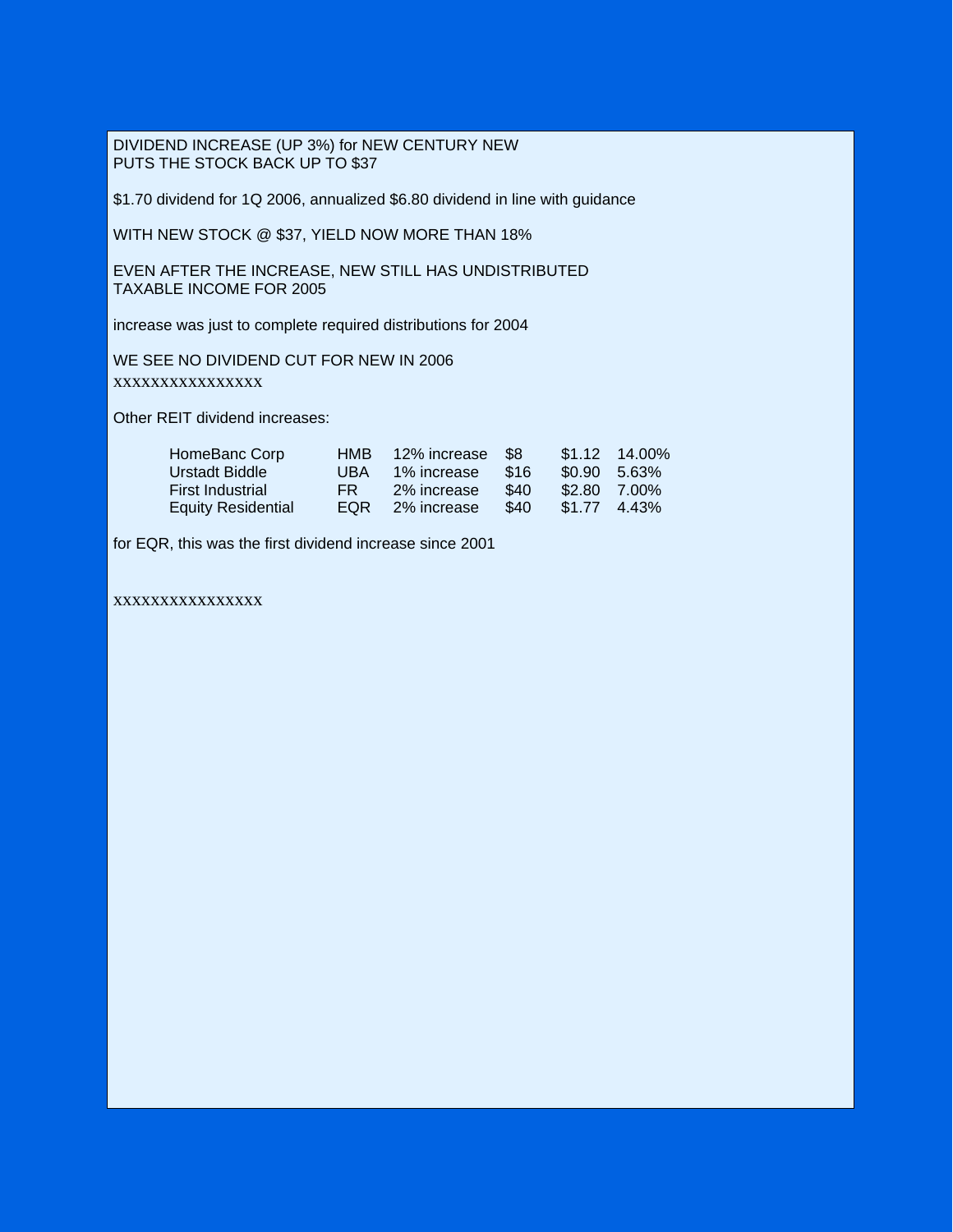DIVIDEND INCREASE (UP 3%) for NEW CENTURY NEW PUTS THE STOCK BACK UP TO \$37

\$1.70 dividend for 1Q 2006, annualized \$6.80 dividend in line with guidance

WITH NEW STOCK @ \$37, YIELD NOW MORE THAN 18%

EVEN AFTER THE INCREASE, NEW STILL HAS UNDISTRIBUTED TAXABLE INCOME FOR 2005

increase was just to complete required distributions for 2004

WE SEE NO DIVIDEND CUT FOR NEW IN 2006 xxxxxxxxxxxxxxxx

Other REIT dividend increases:

| HomeBanc Corp             | HMB. | 12% increase \$8 |        |              | $$1.12 \quad 14.00\%$ |
|---------------------------|------|------------------|--------|--------------|-----------------------|
| Urstadt Biddle            | UBA. | 1% increase      | - \$16 | \$0.90 5.63% |                       |
| <b>First Industrial</b>   | FR - | 2% increase      | \$40   | \$2.80 7.00% |                       |
| <b>Equity Residential</b> | EOR  | 2% increase      | \$40   | \$1.77 4.43% |                       |

for EQR, this was the first dividend increase since 2001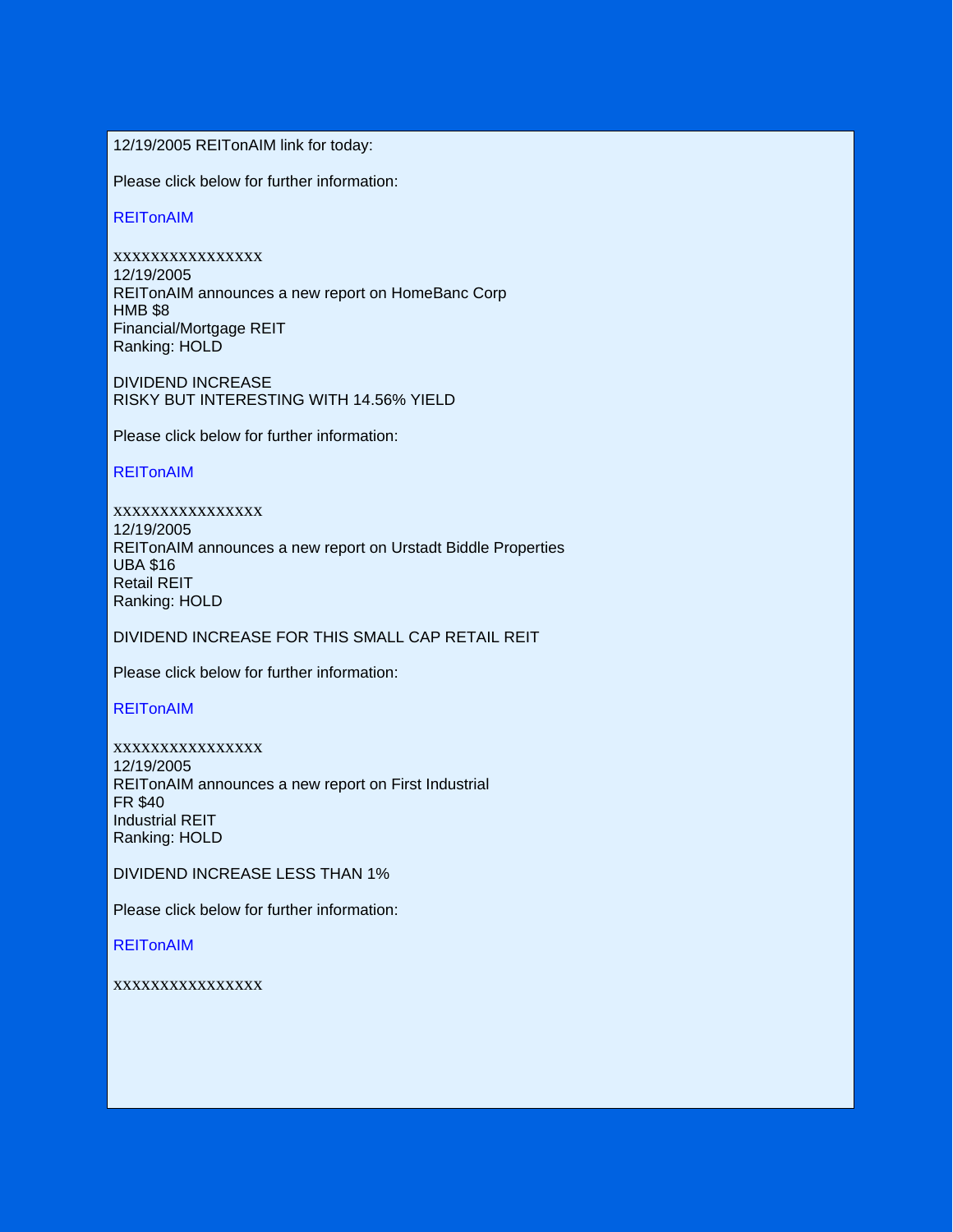12/19/2005 REITonAIM link for today:

Please click below for further information:

REITonAIM

xxxxxxxxxxxxxxxx 12/19/2005 REITonAIM announces a new report on HomeBanc Corp HMB \$8 Financial/Mortgage REIT Ranking: HOLD

DIVIDEND INCREASE RISKY BUT INTERESTING WITH 14.56% YIELD

Please click below for further information:

REITonAIM

xxxxxxxxxxxxxxxx 12/19/2005 REITonAIM announces a new report on Urstadt Biddle Properties UBA \$16 Retail REIT Ranking: HOLD

DIVIDEND INCREASE FOR THIS SMALL CAP RETAIL REIT

Please click below for further information:

**REITonAIM** 

xxxxxxxxxxxxxxxx 12/19/2005 REITonAIM announces a new report on First Industrial FR \$40 Industrial REIT Ranking: HOLD

DIVIDEND INCREASE LESS THAN 1%

Please click below for further information:

**REITonAIM**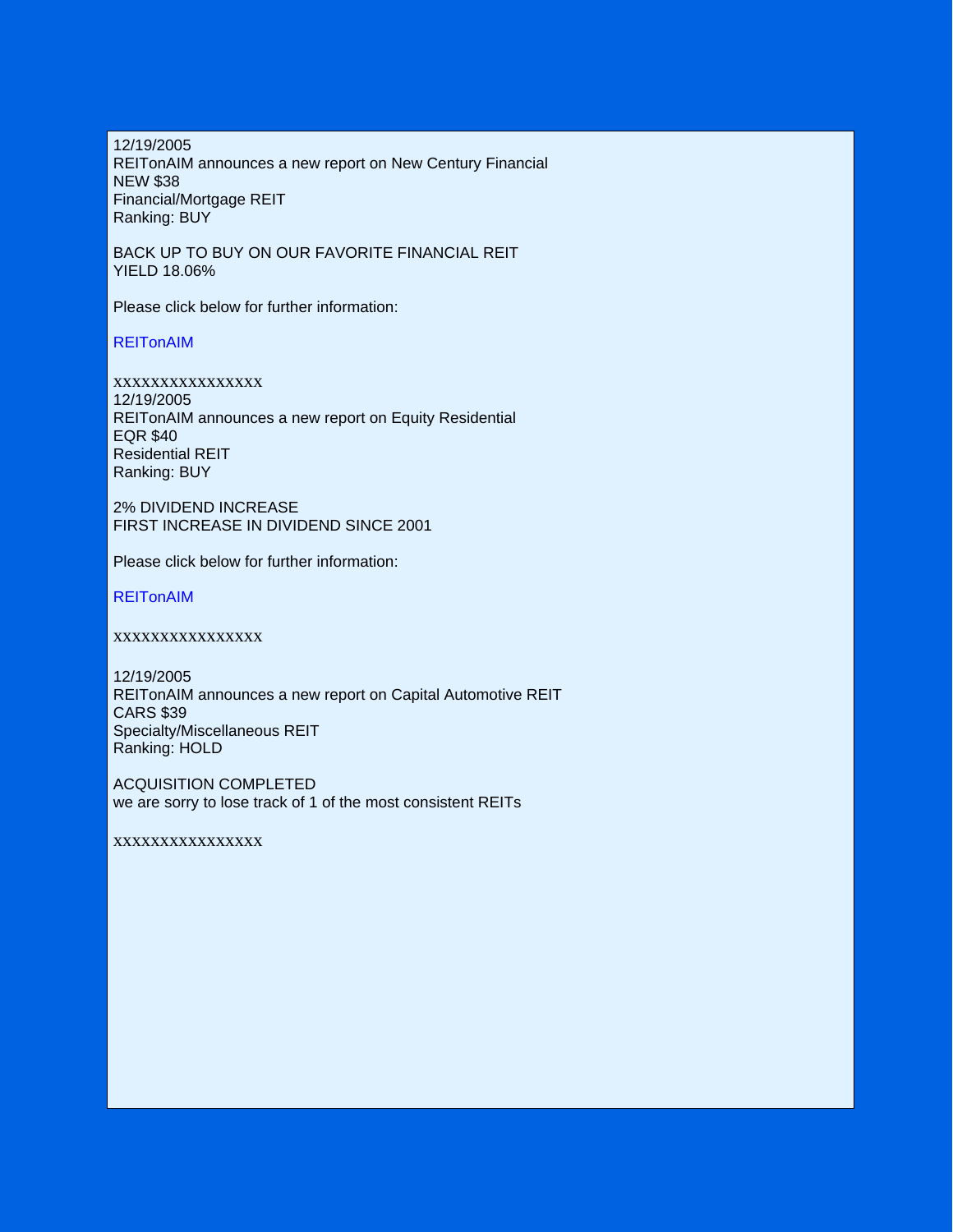12/19/2005 REITonAIM announces a new report on New Century Financial NEW \$38 Financial/Mortgage REIT Ranking: BUY

BACK UP TO BUY ON OUR FAVORITE FINANCIAL REIT YIELD 18.06%

Please click below for further information:

REITonAIM

xxxxxxxxxxxxxxxx 12/19/2005 REITonAIM announces a new report on Equity Residential EQR \$40 Residential REIT Ranking: BUY

2% DIVIDEND INCREASE FIRST INCREASE IN DIVIDEND SINCE 2001

Please click below for further information:

REITonAIM

xxxxxxxxxxxxxxxx

12/19/2005 REITonAIM announces a new report on Capital Automotive REIT CARS \$39 Specialty/Miscellaneous REIT Ranking: HOLD

ACQUISITION COMPLETED we are sorry to lose track of 1 of the most consistent REITs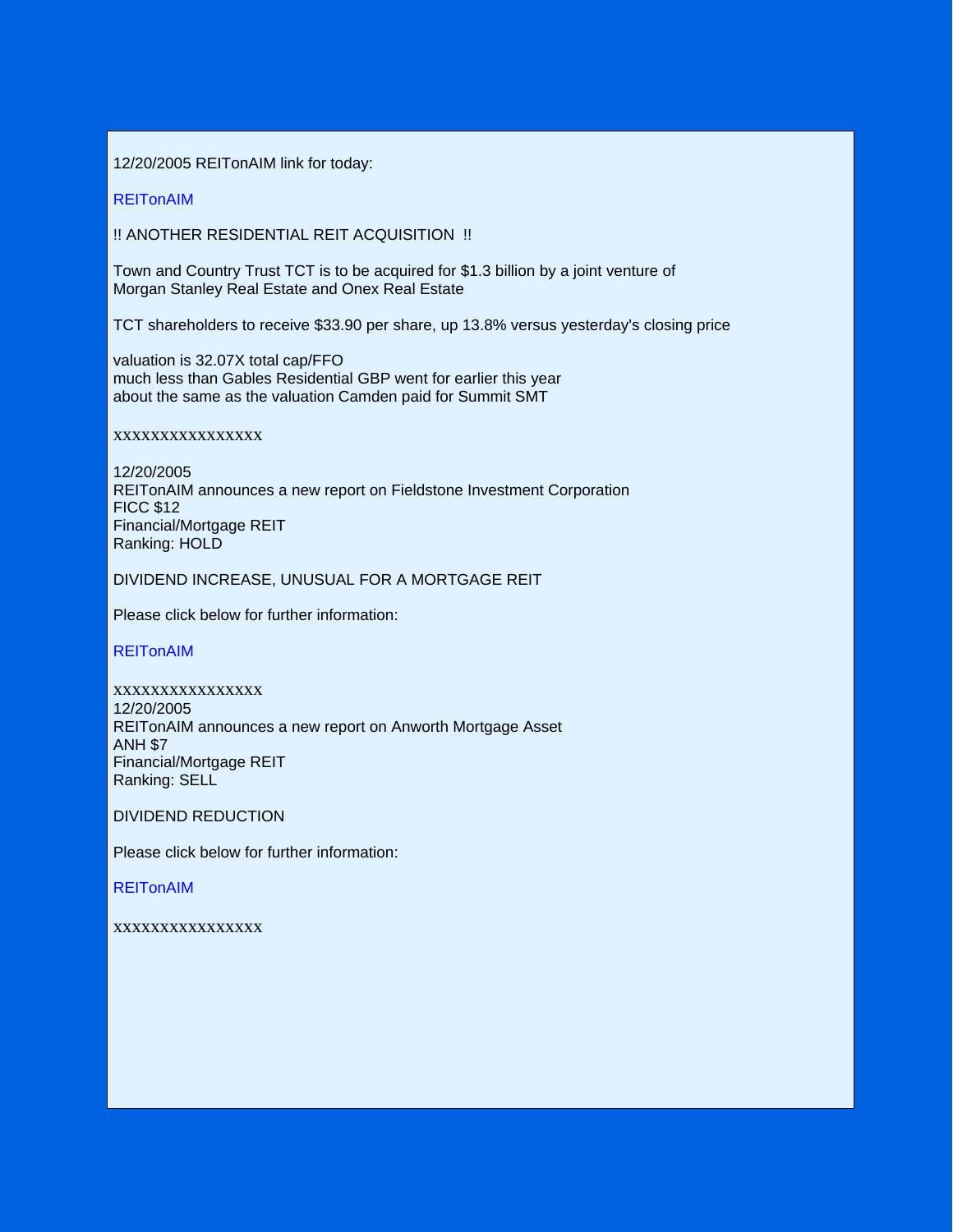12/20/2005 REITonAIM link for today:

**REITonAIM** 

!! ANOTHER RESIDENTIAL REIT ACQUISITION !!

Town and Country Trust TCT is to be acquired for \$1.3 billion by a joint venture of Morgan Stanley Real Estate and Onex Real Estate

TCT shareholders to receive \$33.90 per share, up 13.8% versus yesterday's closing price

valuation is 32.07X total cap/FFO much less than Gables Residential GBP went for earlier this year about the same as the valuation Camden paid for Summit SMT

xxxxxxxxxxxxxxxx

12/20/2005 REITonAIM announces a new report on Fieldstone Investment Corporation FICC \$12 Financial/Mortgage REIT Ranking: HOLD

DIVIDEND INCREASE, UNUSUAL FOR A MORTGAGE REIT

Please click below for further information:

REITonAIM

xxxxxxxxxxxxxxxx 12/20/2005 REITonAIM announces a new report on Anworth Mortgage Asset ANH \$7 Financial/Mortgage REIT Ranking: SELL

DIVIDEND REDUCTION

Please click below for further information:

REITonAIM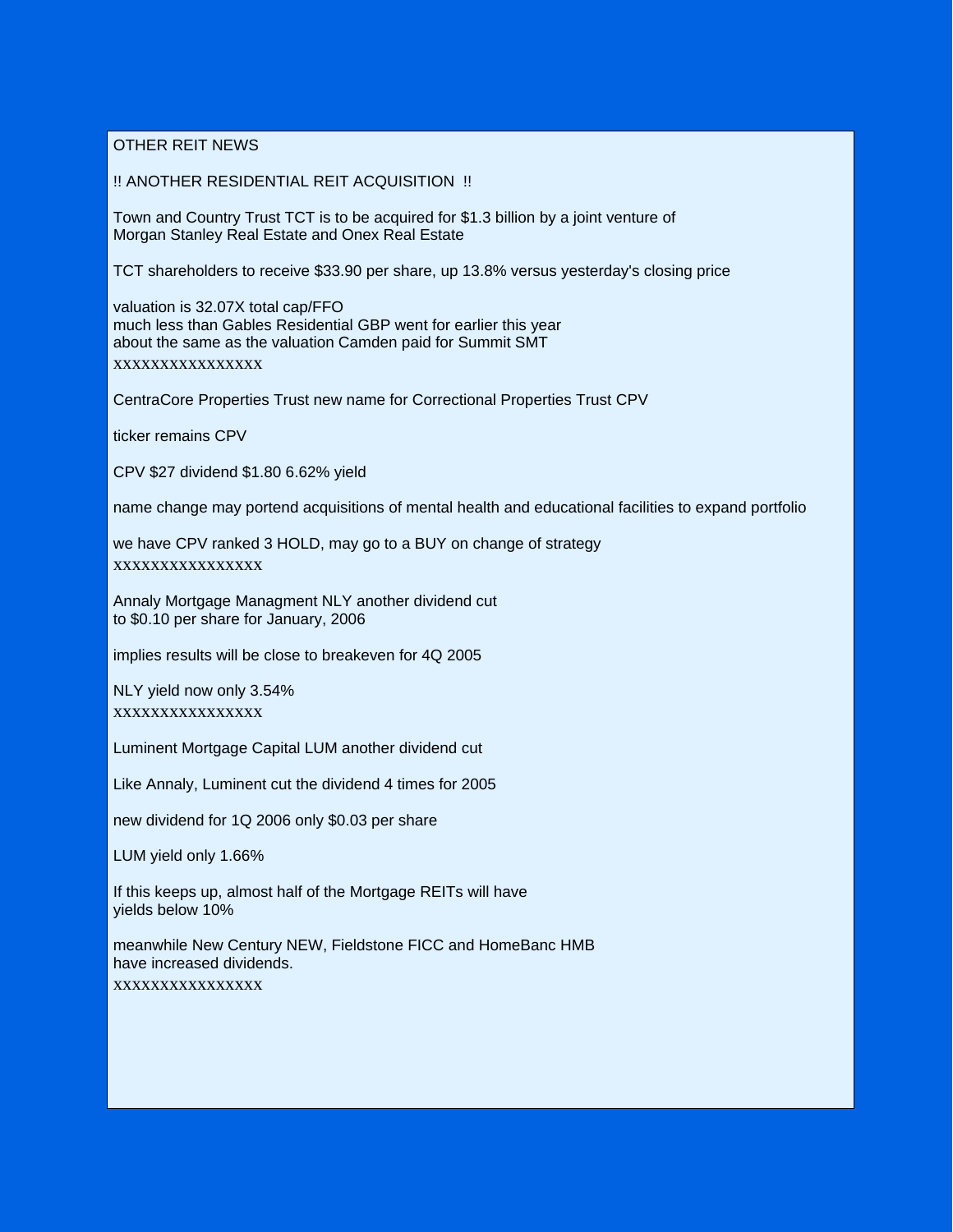OTHER REIT NEWS

!! ANOTHER RESIDENTIAL REIT ACQUISITION !!

Town and Country Trust TCT is to be acquired for \$1.3 billion by a joint venture of Morgan Stanley Real Estate and Onex Real Estate

TCT shareholders to receive \$33.90 per share, up 13.8% versus yesterday's closing price

valuation is 32.07X total cap/FFO much less than Gables Residential GBP went for earlier this year about the same as the valuation Camden paid for Summit SMT xxxxxxxxxxxxxxxx

CentraCore Properties Trust new name for Correctional Properties Trust CPV

ticker remains CPV

CPV \$27 dividend \$1.80 6.62% yield

name change may portend acquisitions of mental health and educational facilities to expand portfolio

we have CPV ranked 3 HOLD, may go to a BUY on change of strategy xxxxxxxxxxxxxxxx

Annaly Mortgage Managment NLY another dividend cut to \$0.10 per share for January, 2006

implies results will be close to breakeven for 4Q 2005

NLY yield now only 3.54% xxxxxxxxxxxxxxxx

Luminent Mortgage Capital LUM another dividend cut

Like Annaly, Luminent cut the dividend 4 times for 2005

new dividend for 1Q 2006 only \$0.03 per share

LUM yield only 1.66%

If this keeps up, almost half of the Mortgage REITs will have yields below 10%

meanwhile New Century NEW, Fieldstone FICC and HomeBanc HMB have increased dividends. xxxxxxxxxxxxxxxx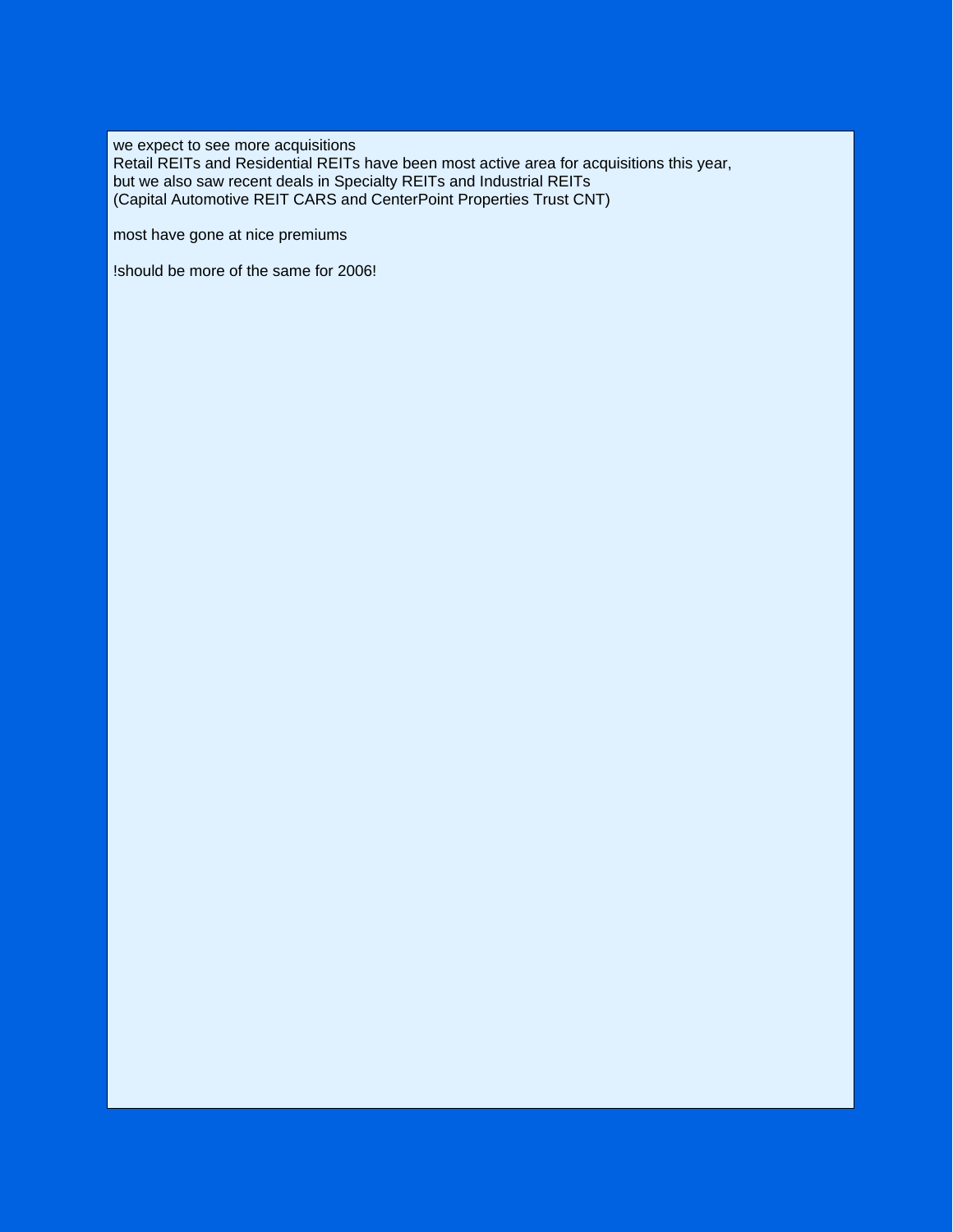we expect to see more acquisitions Retail REITs and Residential REITs have been most active area for acquisitions this year, but we also saw recent deals in Specialty REITs and Industrial REITs (Capital Automotive REIT CARS and CenterPoint Properties Trust CNT)

most have gone at nice premiums

!should be more of the same for 2006!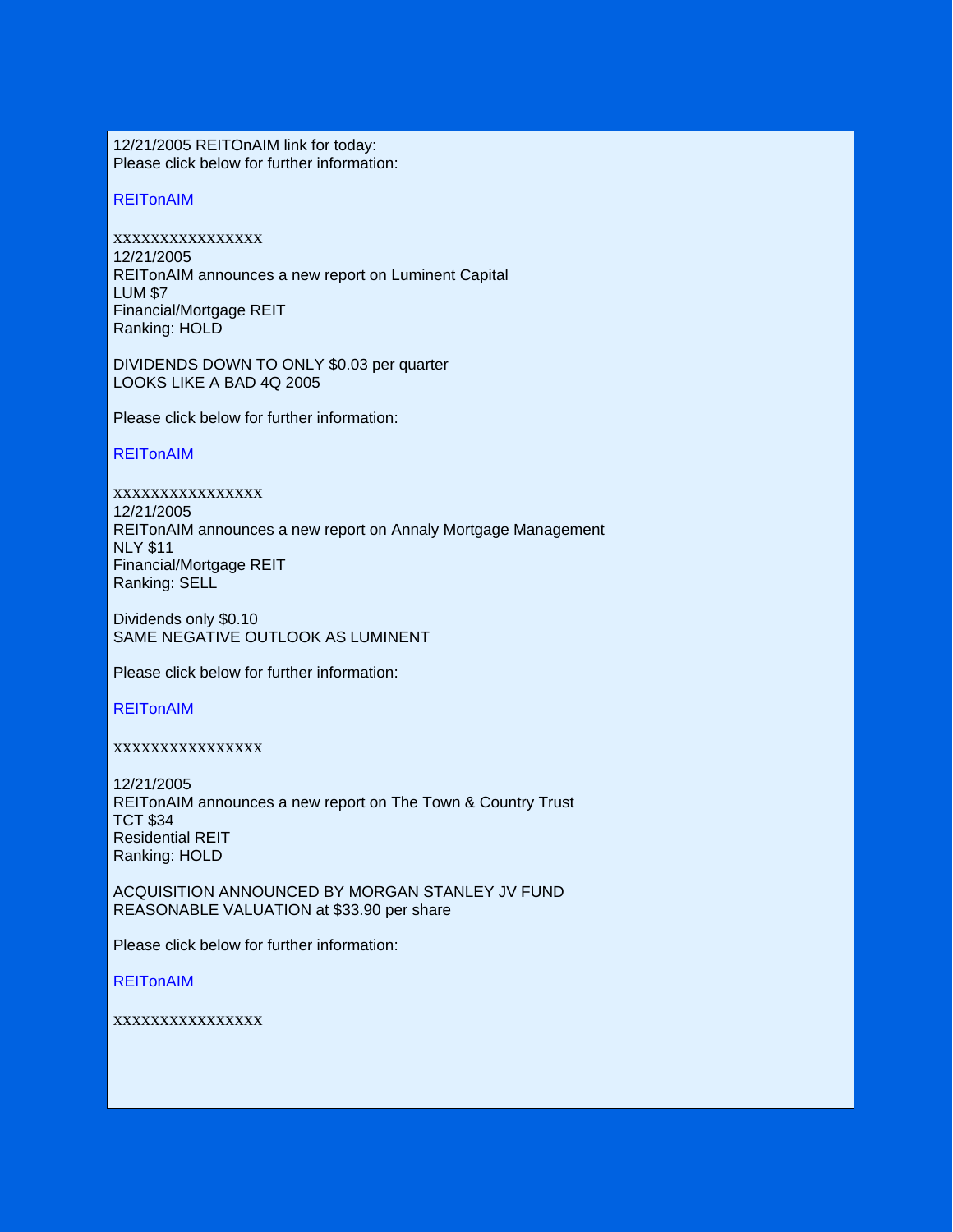12/21/2005 REITOnAIM link for today: Please click below for further information:

## **REITonAIM**

xxxxxxxxxxxxxxxx 12/21/2005 REITonAIM announces a new report on Luminent Capital LUM \$7 Financial/Mortgage REIT Ranking: HOLD

DIVIDENDS DOWN TO ONLY \$0.03 per quarter LOOKS LIKE A BAD 4Q 2005

Please click below for further information:

## **REITonAIM**

xxxxxxxxxxxxxxxx 12/21/2005 REITonAIM announces a new report on Annaly Mortgage Management NLY \$11 Financial/Mortgage REIT Ranking: SELL

Dividends only \$0.10 SAME NEGATIVE OUTLOOK AS LUMINENT

Please click below for further information:

## REITonAIM

## xxxxxxxxxxxxxxxx

12/21/2005 REITonAIM announces a new report on The Town & Country Trust TCT \$34 Residential REIT Ranking: HOLD

ACQUISITION ANNOUNCED BY MORGAN STANLEY JV FUND REASONABLE VALUATION at \$33.90 per share

Please click below for further information:

**REITonAIM**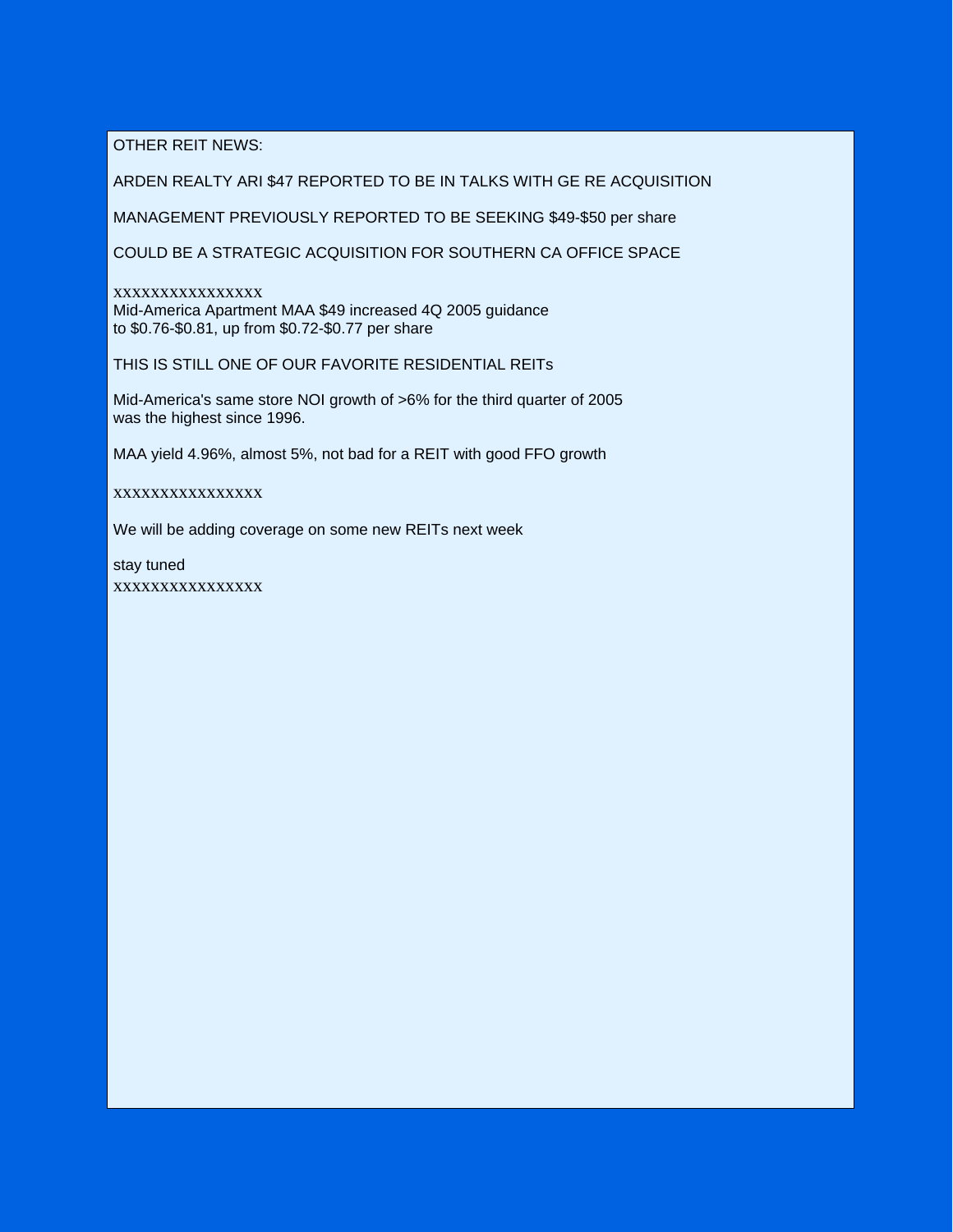OTHER REIT NEWS:

ARDEN REALTY ARI \$47 REPORTED TO BE IN TALKS WITH GE RE ACQUISITION

MANAGEMENT PREVIOUSLY REPORTED TO BE SEEKING \$49-\$50 per share

COULD BE A STRATEGIC ACQUISITION FOR SOUTHERN CA OFFICE SPACE

xxxxxxxxxxxxxxxx Mid-America Apartment MAA \$49 increased 4Q 2005 guidance to \$0.76-\$0.81, up from \$0.72-\$0.77 per share

THIS IS STILL ONE OF OUR FAVORITE RESIDENTIAL REITs

Mid-America's same store NOI growth of >6% for the third quarter of 2005 was the highest since 1996.

MAA yield 4.96%, almost 5%, not bad for a REIT with good FFO growth

xxxxxxxxxxxxxxxx

We will be adding coverage on some new REITs next week

stay tuned xxxxxxxxxxxxxxxx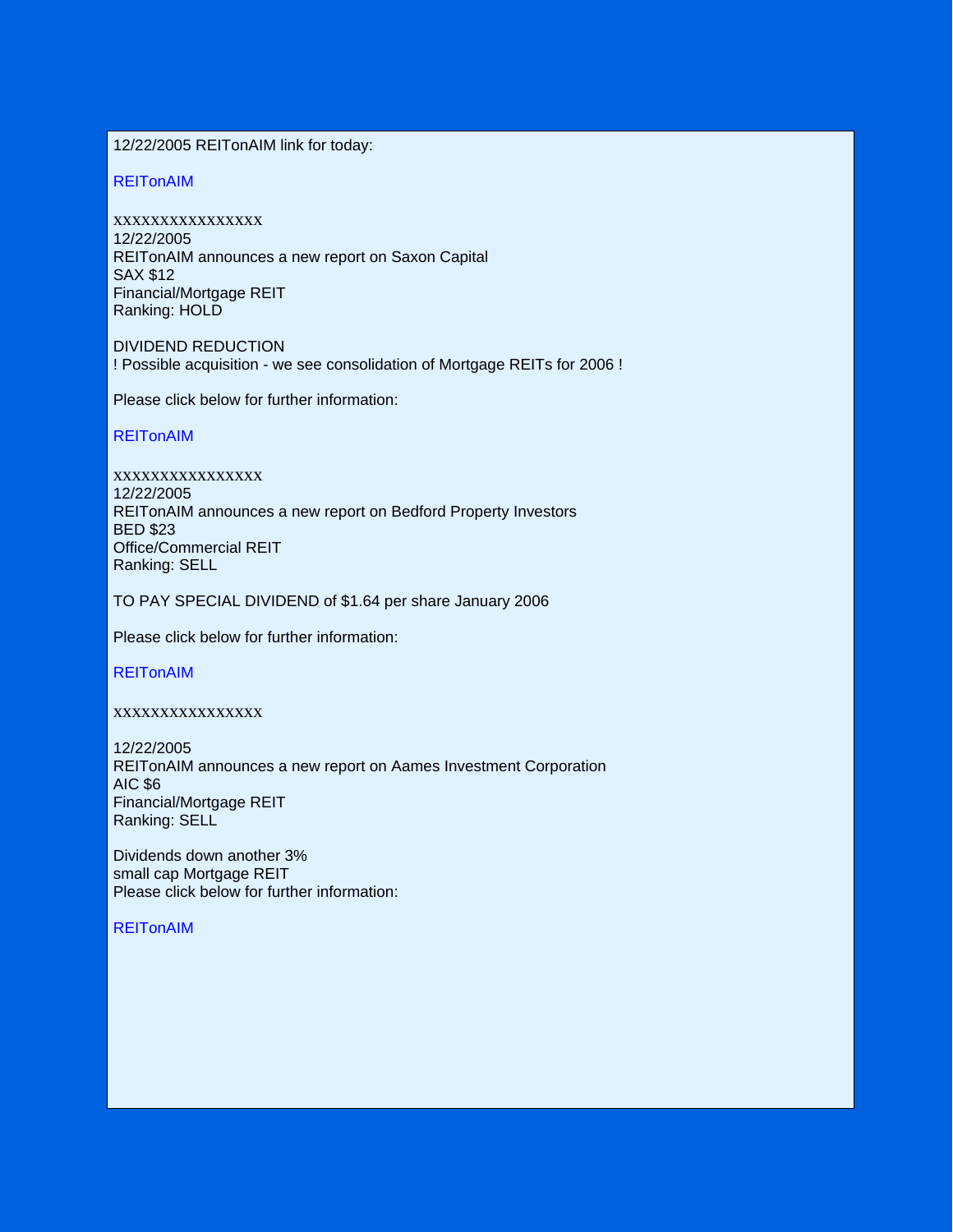12/22/2005 REITonAIM link for today:

REITonAIM

xxxxxxxxxxxxxxxx 12/22/2005 REITonAIM announces a new report on Saxon Capital SAX \$12 Financial/Mortgage REIT Ranking: HOLD

DIVIDEND REDUCTION ! Possible acquisition - we see consolidation of Mortgage REITs for 2006 !

Please click below for further information:

REITonAIM

xxxxxxxxxxxxxxxx 12/22/2005 REITonAIM announces a new report on Bedford Property Investors BED \$23 Office/Commercial REIT Ranking: SELL

TO PAY SPECIAL DIVIDEND of \$1.64 per share January 2006

Please click below for further information:

REITonAIM

xxxxxxxxxxxxxxxx

12/22/2005 REITonAIM announces a new report on Aames Investment Corporation AIC \$6 Financial/Mortgage REIT Ranking: SELL

Dividends down another 3% small cap Mortgage REIT Please click below for further information:

**REITonAIM**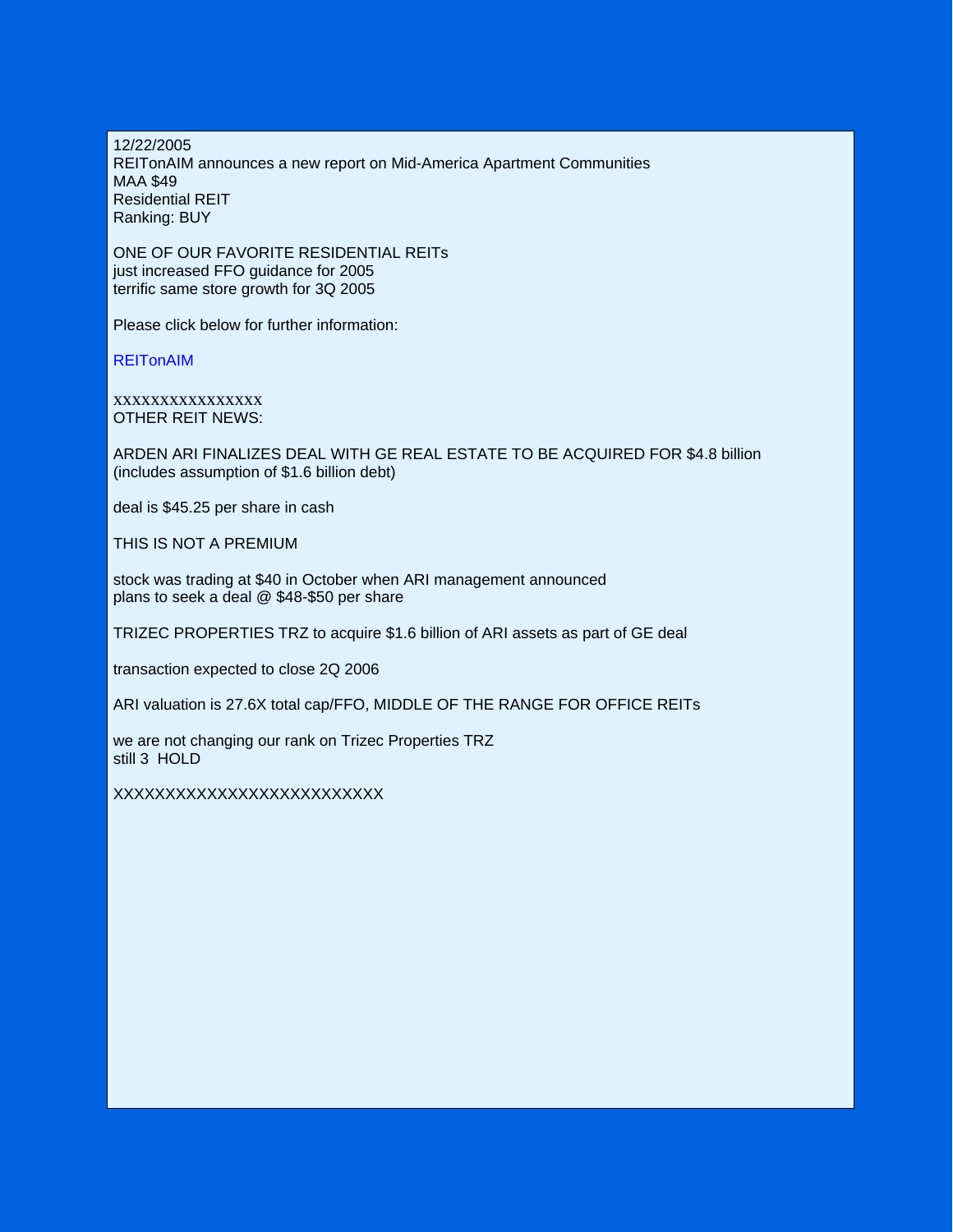12/22/2005 REITonAIM announces a new report on Mid-America Apartment Communities MAA \$49 Residential REIT Ranking: BUY

ONE OF OUR FAVORITE RESIDENTIAL REITs just increased FFO guidance for 2005 terrific same store growth for 3Q 2005

Please click below for further information:

**REITonAIM** 

xxxxxxxxxxxxxxxx OTHER REIT NEWS:

ARDEN ARI FINALIZES DEAL WITH GE REAL ESTATE TO BE ACQUIRED FOR \$4.8 billion (includes assumption of \$1.6 billion debt)

deal is \$45.25 per share in cash

THIS IS NOT A PREMIUM

stock was trading at \$40 in October when ARI management announced plans to seek a deal @ \$48-\$50 per share

TRIZEC PROPERTIES TRZ to acquire \$1.6 billion of ARI assets as part of GE deal

transaction expected to close 2Q 2006

ARI valuation is 27.6X total cap/FFO, MIDDLE OF THE RANGE FOR OFFICE REITs

we are not changing our rank on Trizec Properties TRZ still 3 HOLD

XXXXXXXXXXXXXXXXXXXXXXXXXX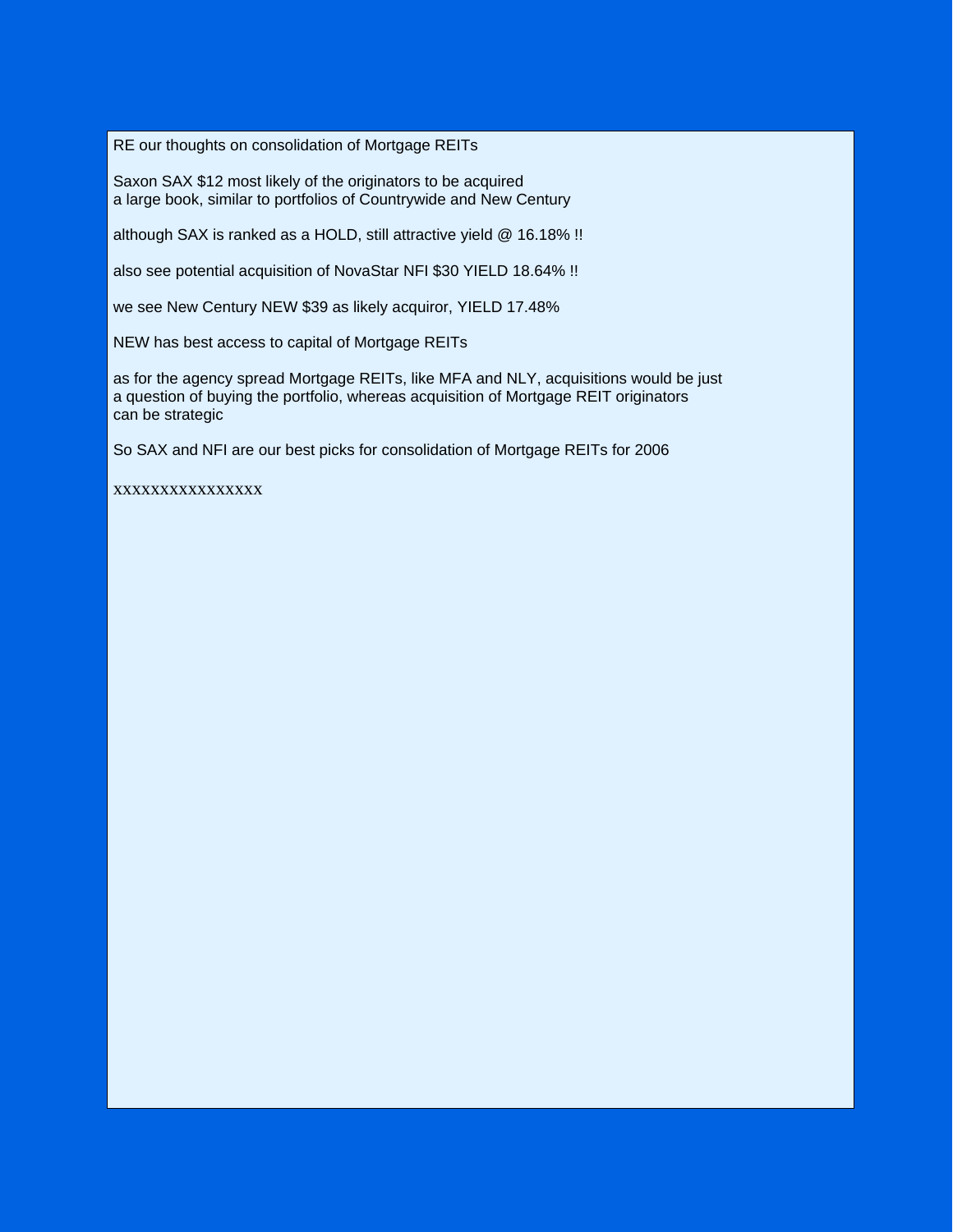RE our thoughts on consolidation of Mortgage REITs

Saxon SAX \$12 most likely of the originators to be acquired a large book, similar to portfolios of Countrywide and New Century

although SAX is ranked as a HOLD, still attractive yield @ 16.18% !!

also see potential acquisition of NovaStar NFI \$30 YIELD 18.64% !!

we see New Century NEW \$39 as likely acquiror, YIELD 17.48%

NEW has best access to capital of Mortgage REITs

as for the agency spread Mortgage REITs, like MFA and NLY, acquisitions would be just a question of buying the portfolio, whereas acquisition of Mortgage REIT originators can be strategic

So SAX and NFI are our best picks for consolidation of Mortgage REITs for 2006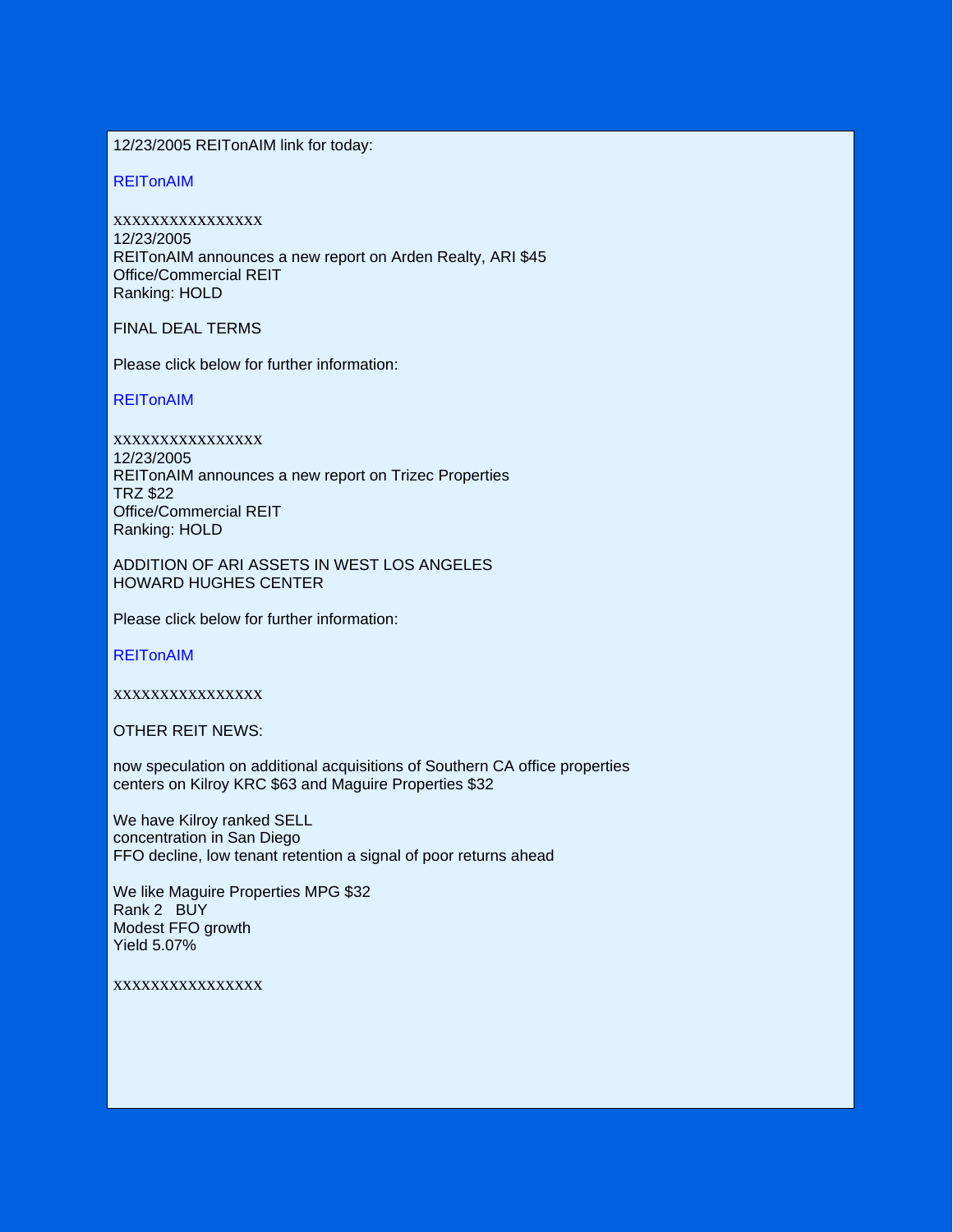12/23/2005 REITonAIM link for today:

REITonAIM

xxxxxxxxxxxxxxxx 12/23/2005 REITonAIM announces a new report on Arden Realty, ARI \$45 Office/Commercial REIT Ranking: HOLD

FINAL DEAL TERMS

Please click below for further information:

**REITonAIM** 

xxxxxxxxxxxxxxxx 12/23/2005 REITonAIM announces a new report on Trizec Properties TRZ \$22 Office/Commercial REIT Ranking: HOLD

ADDITION OF ARI ASSETS IN WEST LOS ANGELES HOWARD HUGHES CENTER

Please click below for further information:

**REITonAIM** 

xxxxxxxxxxxxxxxx

OTHER REIT NEWS:

now speculation on additional acquisitions of Southern CA office properties centers on Kilroy KRC \$63 and Maguire Properties \$32

We have Kilroy ranked SELL concentration in San Diego FFO decline, low tenant retention a signal of poor returns ahead

We like Maguire Properties MPG \$32 Rank 2 BUY Modest FFO growth Yield 5.07%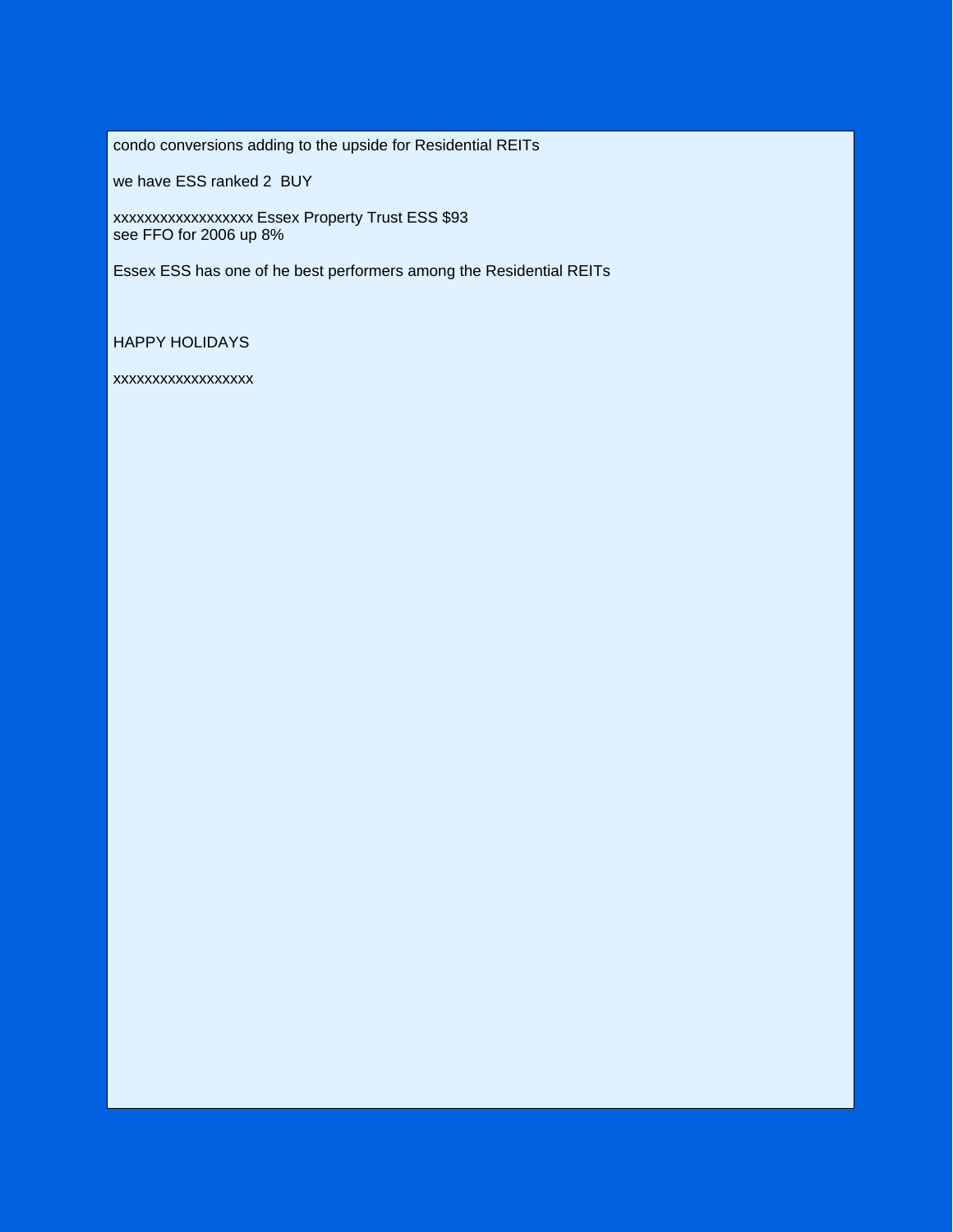condo conversions adding to the upside for Residential REITs

we have ESS ranked 2 BUY

xxxxxxxxxxxxxxxxxx Essex Property Trust ESS \$93 see FFO for 2006 up 8%

Essex ESS has one of he best performers among the Residential REITs

HAPPY HOLIDAYS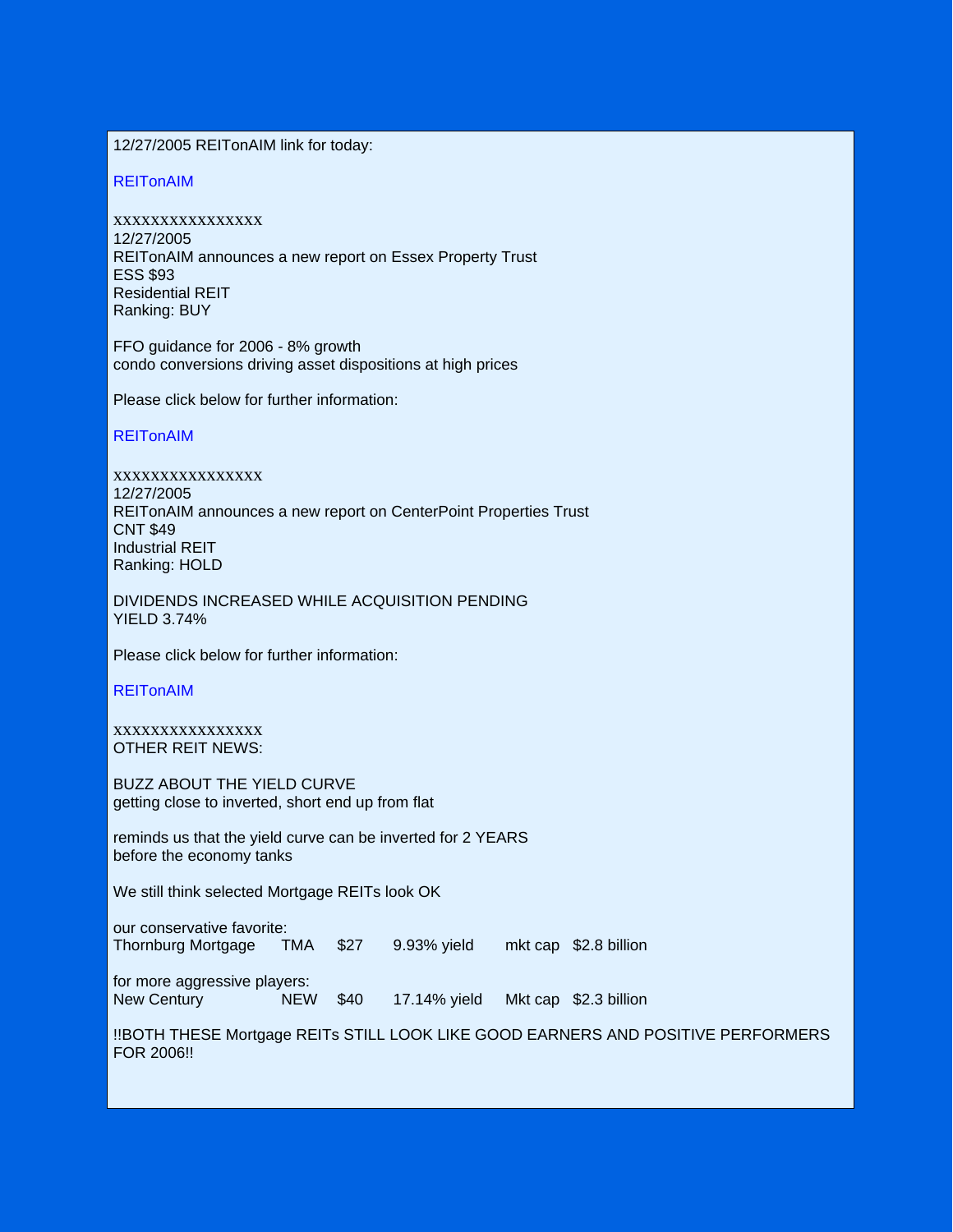12/27/2005 REITonAIM link for today:

REITonAIM

xxxxxxxxxxxxxxxx 12/27/2005 REITonAIM announces a new report on Essex Property Trust ESS \$93 Residential REIT Ranking: BUY

FFO guidance for 2006 - 8% growth condo conversions driving asset dispositions at high prices

Please click below for further information:

REITonAIM

xxxxxxxxxxxxxxxx 12/27/2005 REITonAIM announces a new report on CenterPoint Properties Trust CNT \$49 Industrial REIT Ranking: HOLD

DIVIDENDS INCREASED WHILE ACQUISITION PENDING YIELD 3.74%

Please click below for further information:

REITonAIM

xxxxxxxxxxxxxxxx OTHER REIT NEWS:

BUZZ ABOUT THE YIELD CURVE getting close to inverted, short end up from flat

reminds us that the yield curve can be inverted for 2 YEARS before the economy tanks

We still think selected Mortgage REITs look OK

our conservative favorite: Thornburg Mortgage TMA \$27 9.93% yield mkt cap \$2.8 billion

for more aggressive players: New Century **NEW \$40** 17.14% yield Mkt cap \$2.3 billion

!!BOTH THESE Mortgage REITs STILL LOOK LIKE GOOD EARNERS AND POSITIVE PERFORMERS FOR 2006!!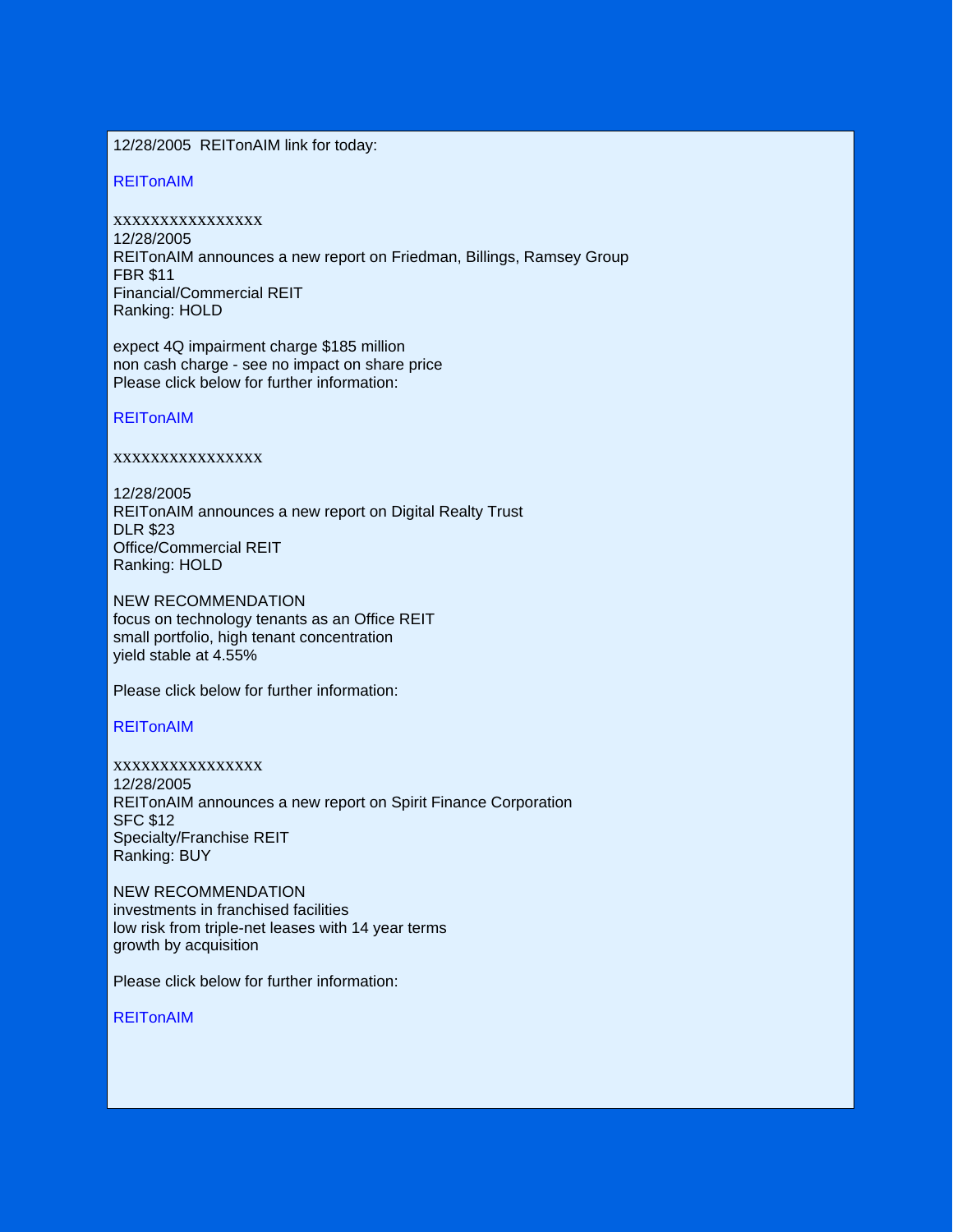# 12/28/2005 REITonAIM link for today:

## REITonAIM

xxxxxxxxxxxxxxxx 12/28/2005 REITonAIM announces a new report on Friedman, Billings, Ramsey Group FBR \$11 Financial/Commercial REIT Ranking: HOLD

expect 4Q impairment charge \$185 million non cash charge - see no impact on share price Please click below for further information:

#### REITonAIM

## xxxxxxxxxxxxxxxx

12/28/2005 REITonAIM announces a new report on Digital Realty Trust DLR \$23 Office/Commercial REIT Ranking: HOLD

NEW RECOMMENDATION focus on technology tenants as an Office REIT small portfolio, high tenant concentration yield stable at 4.55%

Please click below for further information:

**REITonAIM** 

xxxxxxxxxxxxxxxx 12/28/2005 REITonAIM announces a new report on Spirit Finance Corporation SFC \$12 Specialty/Franchise REIT Ranking: BUY

NEW RECOMMENDATION investments in franchised facilities low risk from triple-net leases with 14 year terms growth by acquisition

Please click below for further information:

**REITonAIM**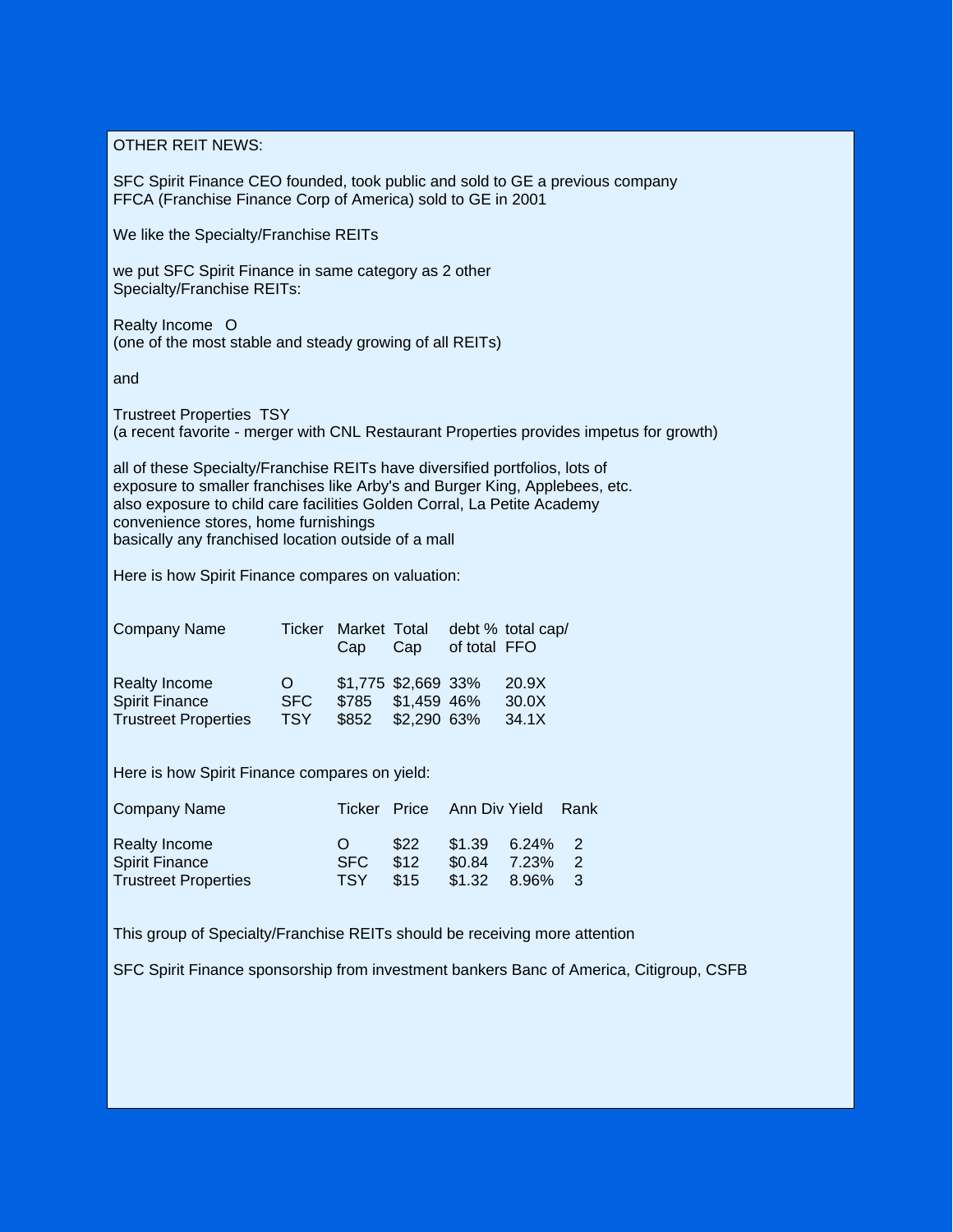OTHER REIT NEWS:

SFC Spirit Finance CEO founded, took public and sold to GE a previous company FFCA (Franchise Finance Corp of America) sold to GE in 2001

We like the Specialty/Franchise REITs

we put SFC Spirit Finance in same category as 2 other Specialty/Franchise REITs:

Realty Income O (one of the most stable and steady growing of all REITs)

and

Trustreet Properties TSY (a recent favorite - merger with CNL Restaurant Properties provides impetus for growth)

all of these Specialty/Franchise REITs have diversified portfolios, lots of exposure to smaller franchises like Arby's and Burger King, Applebees, etc. also exposure to child care facilities Golden Corral, La Petite Academy convenience stores, home furnishings basically any franchised location outside of a mall

Here is how Spirit Finance compares on valuation:

| <b>Company Name</b>         | <b>Ticker</b> | Market Total<br>Cap | Cap                 | of total FFO | debt % total cap/ |
|-----------------------------|---------------|---------------------|---------------------|--------------|-------------------|
| Realty Income               | $\Omega$      |                     | \$1,775 \$2,669 33% |              | 20.9X             |
| <b>Spirit Finance</b>       | <b>SFC</b>    | \$785               | \$1,459 46%         |              | 30.0X             |
| <b>Trustreet Properties</b> | <b>TSY</b>    | \$852 \$2,290 63%   |                     |              | 34.1X             |

Here is how Spirit Finance compares on yield:

| Company Name                                                          |                          |                      | Ticker Price Ann Div Yield                      |            | Rank |
|-----------------------------------------------------------------------|--------------------------|----------------------|-------------------------------------------------|------------|------|
| Realty Income<br><b>Spirit Finance</b><br><b>Trustreet Properties</b> | <b>SFC</b><br><b>TSY</b> | \$22<br>\$12<br>\$15 | \$1.39<br>$$0.84$ 7.23% 2<br>$$1.32$ $8.96\%$ 3 | $6.24\%$ 2 |      |

This group of Specialty/Franchise REITs should be receiving more attention

SFC Spirit Finance sponsorship from investment bankers Banc of America, Citigroup, CSFB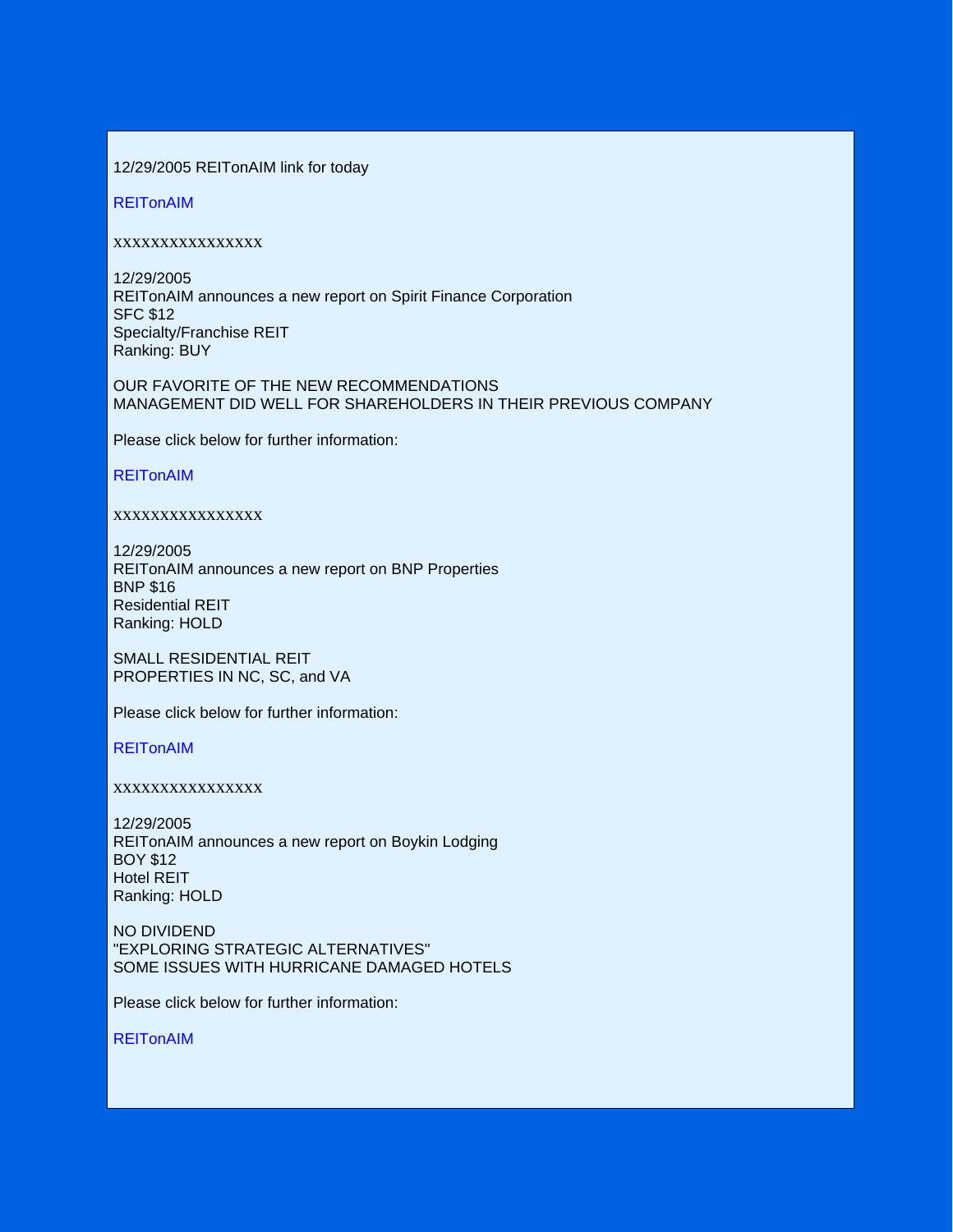## 12/29/2005 REITonAIM link for today

REITonAIM

## xxxxxxxxxxxxxxxx

12/29/2005 REITonAIM announces a new report on Spirit Finance Corporation SFC \$12 Specialty/Franchise REIT Ranking: BUY

OUR FAVORITE OF THE NEW RECOMMENDATIONS MANAGEMENT DID WELL FOR SHAREHOLDERS IN THEIR PREVIOUS COMPANY

Please click below for further information:

## REITonAIM

## xxxxxxxxxxxxxxxx

12/29/2005 REITonAIM announces a new report on BNP Properties BNP \$16 Residential REIT Ranking: HOLD

SMALL RESIDENTIAL REIT PROPERTIES IN NC, SC, and VA

Please click below for further information:

REITonAIM

## xxxxxxxxxxxxxxxx

12/29/2005 REITonAIM announces a new report on Boykin Lodging BOY \$12 Hotel REIT Ranking: HOLD

NO DIVIDEND "EXPLORING STRATEGIC ALTERNATIVES" SOME ISSUES WITH HURRICANE DAMAGED HOTELS

Please click below for further information:

REITonAIM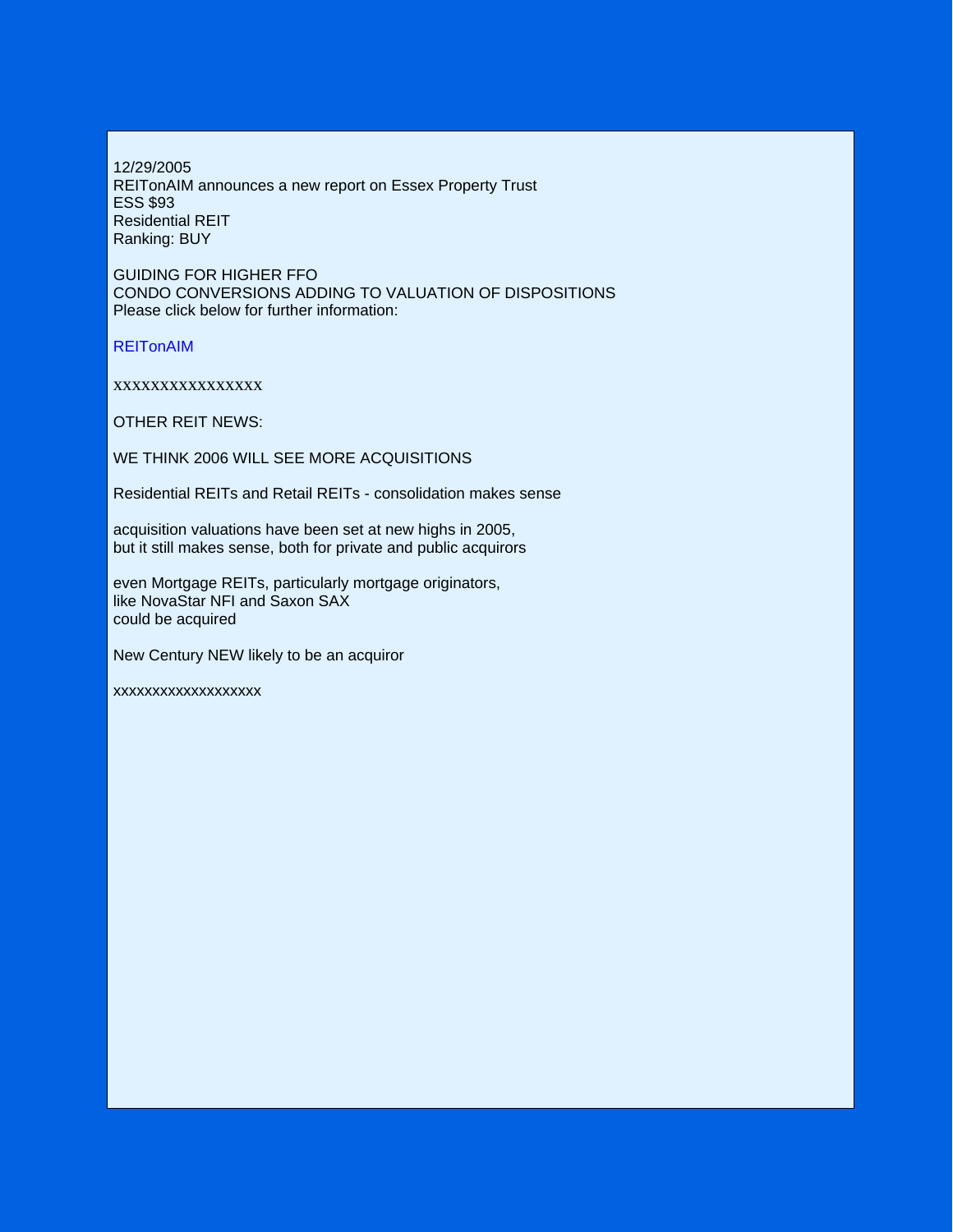12/29/2005 REITonAIM announces a new report on Essex Property Trust ESS \$93 Residential REIT Ranking: BUY

GUIDING FOR HIGHER FFO CONDO CONVERSIONS ADDING TO VALUATION OF DISPOSITIONS Please click below for further information:

REITonAIM

xxxxxxxxxxxxxxxx

OTHER REIT NEWS:

WE THINK 2006 WILL SEE MORE ACQUISITIONS

Residential REITs and Retail REITs - consolidation makes sense

acquisition valuations have been set at new highs in 2005, but it still makes sense, both for private and public acquirors

even Mortgage REITs, particularly mortgage originators, like NovaStar NFI and Saxon SAX could be acquired

New Century NEW likely to be an acquiror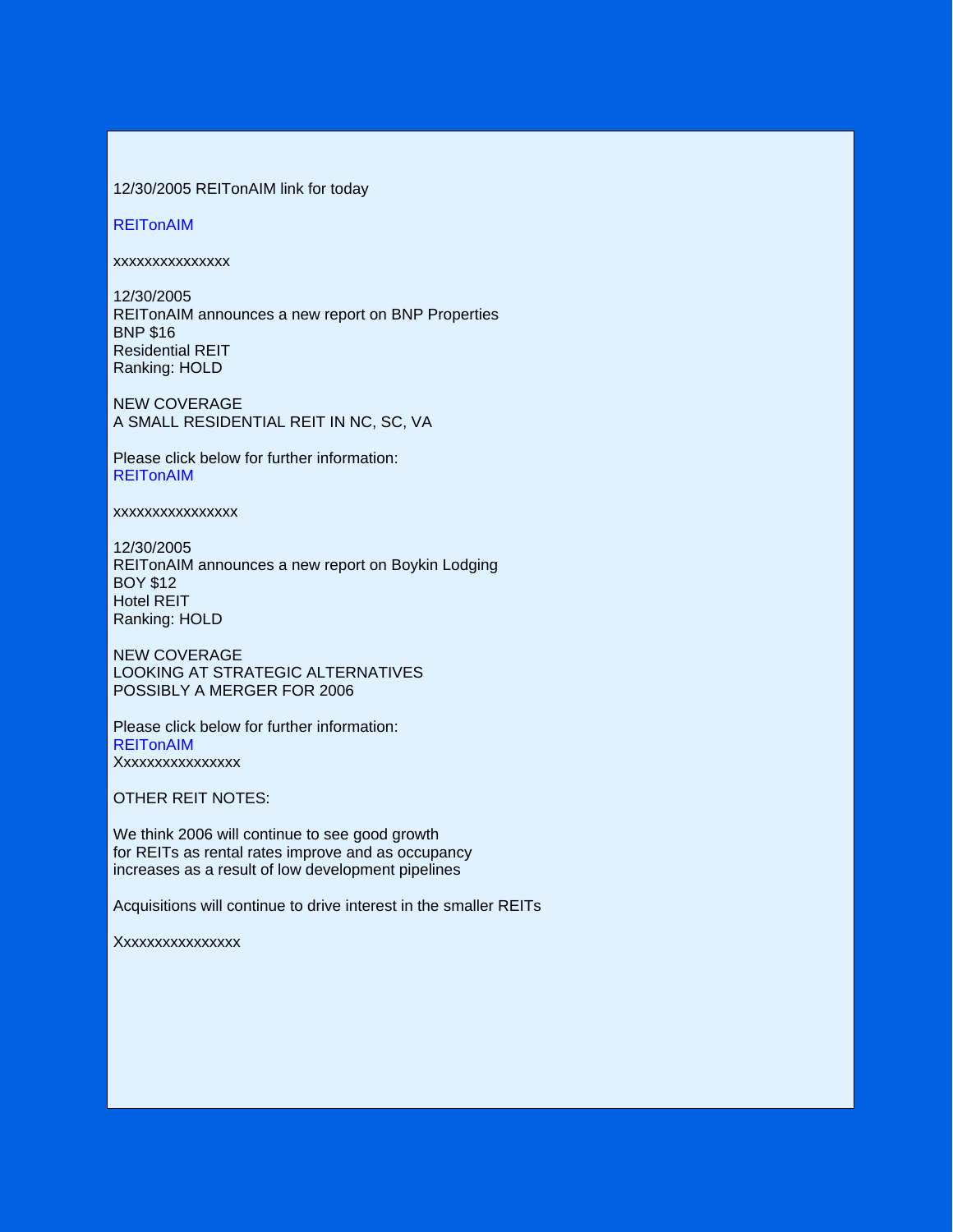## 12/30/2005 REITonAIM link for today

#### **REITonAIM**

xxxxxxxxxxxxxxx

12/30/2005 REITonAIM announces a new report on BNP Properties BNP \$16 Residential REIT Ranking: HOLD

NEW COVERAGE A SMALL RESIDENTIAL REIT IN NC, SC, VA

Please click below for further information: REITonAIM

xxxxxxxxxxxxxxxx

12/30/2005 REITonAIM announces a new report on Boykin Lodging BOY \$12 Hotel REIT Ranking: HOLD

NEW COVERAGE LOOKING AT STRATEGIC ALTERNATIVES POSSIBLY A MERGER FOR 2006

Please click below for further information: **REITonAIM** Xxxxxxxxxxxxxxxx

OTHER REIT NOTES:

We think 2006 will continue to see good growth for REITs as rental rates improve and as occupancy increases as a result of low development pipelines

Acquisitions will continue to drive interest in the smaller REITs